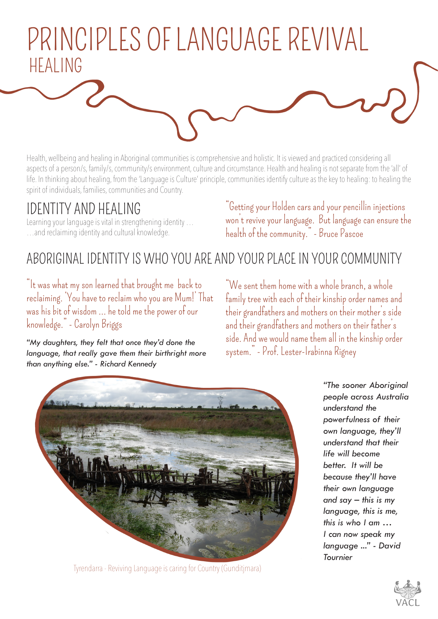## PRINCIPLES OF LANGUAGE REVIVAL HEALING

Health, wellbeing and healing in Aboriginal communities is comprehensive and holistic. It is viewed and practiced considering all aspects of a person/s, family/s, community/s environment, culture and circumstance. Health and healing is not separate from the 'all' of life. In thinking about healing, from the 'Language is Culture' principle, communities identify culture as the key to healing: to healing the spirit of individuals, families, communities and Country.

### IDENTITY AND HEALING

Learning your language is vital in strengthening identity … …and reclaiming identity and cultural knowledge.

"Getting your Holden cars and your pencillin injections won't revive your language. But language can ensure the health of the community." - Bruce Pascoe

### ABORIGINAL IDENTITY IS WHO YOU ARE AND YOUR PLACE IN YOUR COMMUNITY

"It was what my son learned that brought me back to reclaiming. 'You have to reclaim who you are Mum!' That was his bit of wisdom … he told me the power of our knowledge." - Carolyn Briggs

*"My daughters, they felt that once they'd done the language, that really gave them their birthright more than anything else." - Richard Kennedy*

"We sent them home with a whole branch, a whole family tree with each of their kinship order names and their grandfathers and mothers on their mother's side and their grandfathers and mothers on their father's side. And we would name them all in the kinship order system." - Prof. Lester-Irabinna Rigney



Tyrendarra - Reviving Language is caring for Country (Gunditjmara)

*"The sooner Aboriginal people across Australia understand the powerfulness of their own language, they'll understand that their life will become better. It will be because they'll have their own language and say – this is my language, this is me, this is who I am … I can now speak my language ..." - David Tournier*